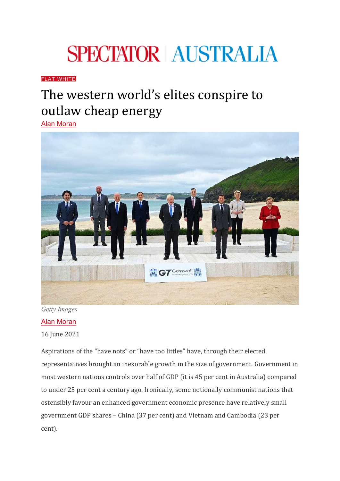## **SPECTATOR AUSTRALIA**

## [FLAT WHITE](https://www.spectator.com.au/category/flat-white/)

## The western world's elites conspire to outlaw cheap energy

[Alan Moran](https://www.spectator.com.au/author/alanmoran/)



*Getty Images*

## Alan [Moran](https://www.spectator.com.au/author/alanmoran/)

16 June 2021

Aspirations of the "have nots" or "have too littles" have, through their elected representatives brought an inexorable growth in the size of government. Government in most western nations controls over half of GDP (it is 45 per cent in Australia) compared to under 25 per cent a century ago. Ironically, some notionally communist nations that ostensibly favour an enhanced government economic presence have relatively small government GDP shares – China (37 per cent) and Vietnam and Cambodia (23 per cent).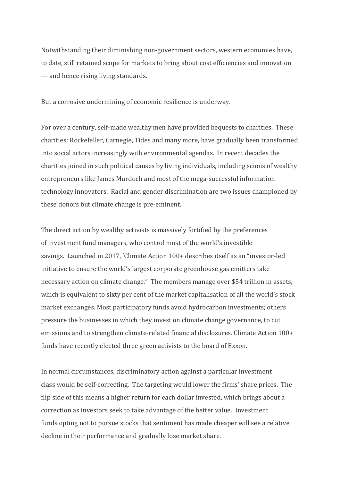Notwithstanding their diminishing non-government sectors, western economies have, to date, still retained scope for markets to bring about cost efficiencies and innovation — and hence rising living standards.

But a corrosive undermining of economic resilience is underway.

For over a century, self-made wealthy men have provided bequests to charities. These charities: Rockefeller, Carnegie, Tides and many more, have gradually been transformed into social actors increasingly with environmental agendas. In recent decades the charities joined in such political causes by living individuals, including scions of wealthy entrepreneurs like James Murdoch and most of the mega-successful information technology innovators. Racial and gender discrimination are two issues championed by these donors but climate change is pre-eminent.

The direct action by wealthy activists is massively fortified by the preferences of investment fund managers, who control most of the world's investible savings. Launched in 2017, 'Climate Action 100+ describes itself as an "investor-led initiative to ensure the world's largest corporate greenhouse gas emitters take necessary action on climate change." The members manage over \$54 trillion in assets, which is equivalent to sixty per cent of the market capitalisation of all the world's stock market exchanges. Most participatory funds avoid hydrocarbon investments; others pressure the businesses in which they invest on climate change governance, to cut emissions and to strengthen climate-related financial disclosures. Climate Action 100+ funds have recently elected three green activists to the board of Exxon.

In normal circumstances, discriminatory action against a particular investment class would be self-correcting. The targeting would lower the firms' share prices. The flip side of this means a higher return for each dollar invested, which brings about a correction as investors seek to take advantage of the better value. Investment funds opting not to pursue stocks that sentiment has made cheaper will see a relative decline in their performance and gradually lose market share.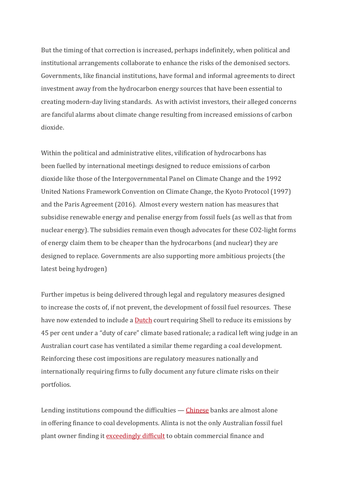But the timing of that correction is increased, perhaps indefinitely, when political and institutional arrangements collaborate to enhance the risks of the demonised sectors. Governments, like financial institutions, have formal and informal agreements to direct investment away from the hydrocarbon energy sources that have been essential to creating modern-day living standards. As with activist investors, their alleged concerns are fanciful alarms about climate change resulting from increased emissions of carbon dioxide.

Within the political and administrative elites, vilification of hydrocarbons has been fuelled by international meetings designed to reduce emissions of carbon dioxide like those of the Intergovernmental Panel on Climate Change and the 1992 United Nations Framework Convention on Climate Change, the Kyoto Protocol (1997) and the Paris Agreement (2016). Almost every western nation has measures that subsidise renewable energy and penalise energy from fossil fuels (as well as that from nuclear energy). The subsidies remain even though advocates for these CO2-light forms of energy claim them to be cheaper than the hydrocarbons (and nuclear) they are designed to replace. Governments are also supporting more ambitious projects (the latest being hydrogen)

Further impetus is being delivered through legal and regulatory measures designed to increase the costs of, if not prevent, the development of fossil fuel resources. These have now extended to include a **[Dutch](https://www.higginschambers.com.au/stunning-federal-court-decision-blows-open-duty-of-care-for-climate-change-in-australia/)** court requiring Shell to reduce its emissions by 45 per cent under a "duty of care" climate based rationale; a radical left wing judge in an Australian court case has ventilated a similar theme regarding a coal development. Reinforcing these cost impositions are regulatory measures nationally and internationally requiring firms to fully document any future climate risks on their portfolios.

Lending institutions compound the difficulties — [Chinese](https://nationalinterest.org/feature/why-china-odd-man-out-overseas-coal-financing-183696) banks are almost alone in offering finance to coal developments. Alinta is not the only Australian fossil fuel plant owner finding it [exceedingly difficult](https://www.smh.com.au/business/companies/coal-plant-owner-alinta-calls-for-canberra-to-step-in-as-banks-retreat-20210610-p57zxq.html) to obtain commercial finance and